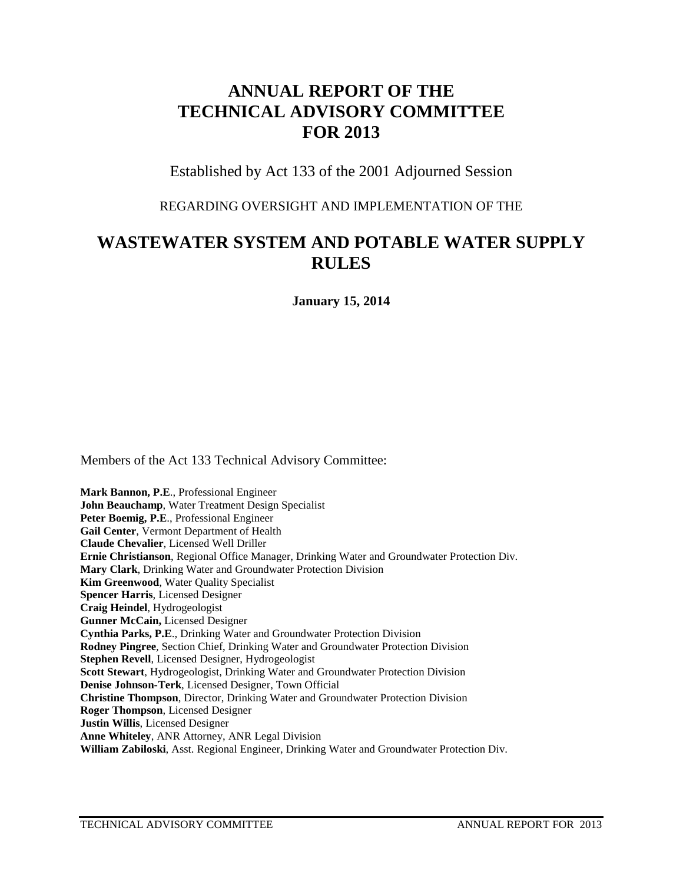# **ANNUAL REPORT OF THE TECHNICAL ADVISORY COMMITTEE FOR 2013**

Established by Act 133 of the 2001 Adjourned Session

#### REGARDING OVERSIGHT AND IMPLEMENTATION OF THE

# **WASTEWATER SYSTEM AND POTABLE WATER SUPPLY RULES**

**January 15, 2014**

Members of the Act 133 Technical Advisory Committee:

**Mark Bannon, P.E**., Professional Engineer **John Beauchamp**, Water Treatment Design Specialist Peter Boemig, P.E., Professional Engineer **Gail Center**, Vermont Department of Health **Claude Chevalier**, Licensed Well Driller **Ernie Christianson**, Regional Office Manager, Drinking Water and Groundwater Protection Div. **Mary Clark**, Drinking Water and Groundwater Protection Division **Kim Greenwood**, Water Quality Specialist **Spencer Harris**, Licensed Designer **Craig Heindel**, Hydrogeologist **Gunner McCain,** Licensed Designer **Cynthia Parks, P.E**., Drinking Water and Groundwater Protection Division **Rodney Pingree**, Section Chief, Drinking Water and Groundwater Protection Division **Stephen Revell**, Licensed Designer, Hydrogeologist **Scott Stewart**, Hydrogeologist, Drinking Water and Groundwater Protection Division **Denise Johnson-Terk**, Licensed Designer, Town Official **Christine Thompson**, Director, Drinking Water and Groundwater Protection Division **Roger Thompson**, Licensed Designer **Justin Willis**, Licensed Designer **Anne Whiteley**, ANR Attorney, ANR Legal Division **William Zabiloski**, Asst. Regional Engineer, Drinking Water and Groundwater Protection Div.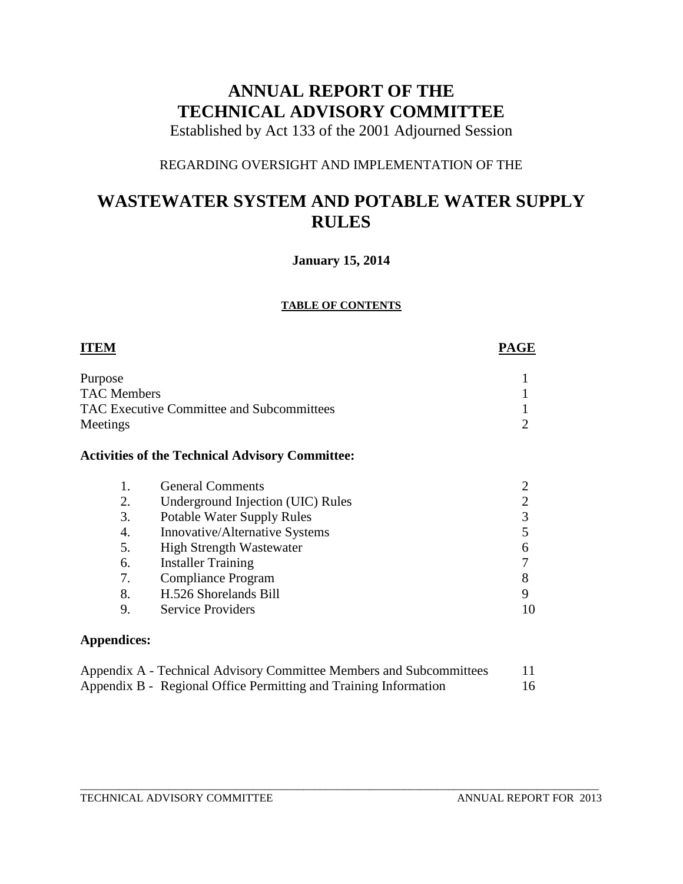# **ANNUAL REPORT OF THE TECHNICAL ADVISORY COMMITTEE**

Established by Act 133 of the 2001 Adjourned Session

## REGARDING OVERSIGHT AND IMPLEMENTATION OF THE

# **WASTEWATER SYSTEM AND POTABLE WATER SUPPLY RULES**

### **January 15, 2014**

#### **TABLE OF CONTENTS**

| <b>ITEM</b>        |                                                                  | <b>PAGE</b>    |
|--------------------|------------------------------------------------------------------|----------------|
| Purpose            |                                                                  |                |
| <b>TAC Members</b> |                                                                  |                |
|                    | <b>TAC Executive Committee and Subcommittees</b>                 |                |
| Meetings           |                                                                  | 2              |
|                    | <b>Activities of the Technical Advisory Committee:</b>           |                |
| 1.                 | <b>General Comments</b>                                          |                |
| 2.                 | Underground Injection (UIC) Rules                                | $\overline{2}$ |
| 3.                 | <b>Potable Water Supply Rules</b>                                | 3              |
| 4.                 | Innovative/Alternative Systems                                   | 5              |
| 5.                 | <b>High Strength Wastewater</b>                                  | 6              |
| 6.                 | <b>Installer Training</b>                                        |                |
| 7.                 | Compliance Program                                               | 8              |
| 8.                 | H.526 Shorelands Bill                                            | 9              |
| 9.                 | <b>Service Providers</b>                                         | 10             |
| <b>Appendices:</b> |                                                                  |                |
|                    | Δnondix Δ Technical Δdvisory Committee Members and Subcommittees | 11             |

| Appendix A - Technical Advisory Committee Members and Subcommittees |  |
|---------------------------------------------------------------------|--|
| Appendix B - Regional Office Permitting and Training Information    |  |

\_\_\_\_\_\_\_\_\_\_\_\_\_\_\_\_\_\_\_\_\_\_\_\_\_\_\_\_\_\_\_\_\_\_\_\_\_\_\_\_\_\_\_\_\_\_\_\_\_\_\_\_\_\_\_\_\_\_\_\_\_\_\_\_\_\_\_\_\_\_\_\_\_\_\_\_\_\_\_\_\_\_\_\_\_\_\_\_\_\_\_\_\_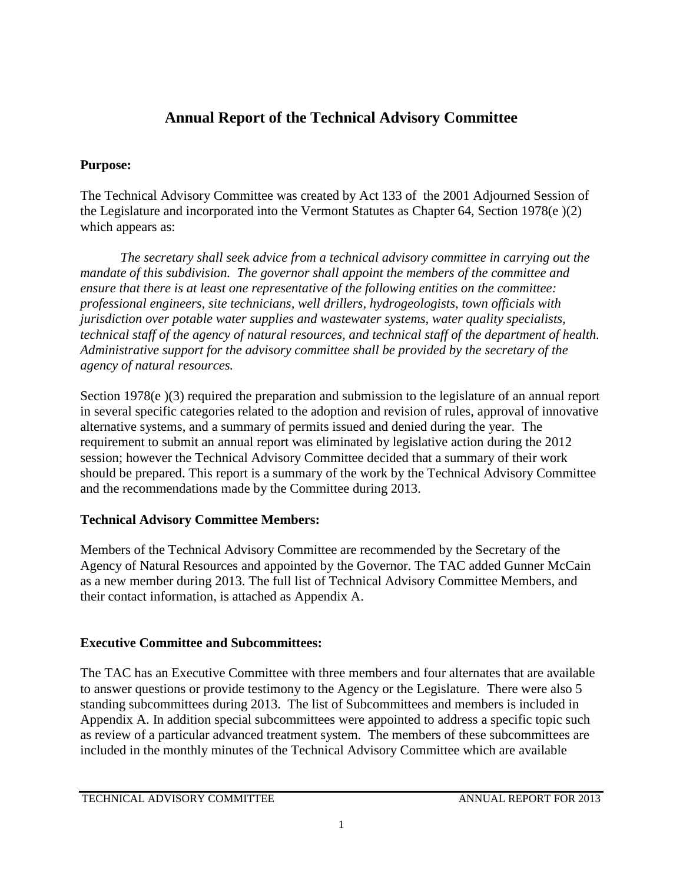# **Annual Report of the Technical Advisory Committee**

## **Purpose:**

The Technical Advisory Committee was created by Act 133 of the 2001 Adjourned Session of the Legislature and incorporated into the Vermont Statutes as Chapter 64, Section 1978(e )(2) which appears as:

*The secretary shall seek advice from a technical advisory committee in carrying out the mandate of this subdivision. The governor shall appoint the members of the committee and ensure that there is at least one representative of the following entities on the committee: professional engineers, site technicians, well drillers, hydrogeologists, town officials with jurisdiction over potable water supplies and wastewater systems, water quality specialists, technical staff of the agency of natural resources, and technical staff of the department of health. Administrative support for the advisory committee shall be provided by the secretary of the agency of natural resources.* 

Section 1978(e)(3) required the preparation and submission to the legislature of an annual report in several specific categories related to the adoption and revision of rules, approval of innovative alternative systems, and a summary of permits issued and denied during the year. The requirement to submit an annual report was eliminated by legislative action during the 2012 session; however the Technical Advisory Committee decided that a summary of their work should be prepared. This report is a summary of the work by the Technical Advisory Committee and the recommendations made by the Committee during 2013.

# **Technical Advisory Committee Members:**

Members of the Technical Advisory Committee are recommended by the Secretary of the Agency of Natural Resources and appointed by the Governor. The TAC added Gunner McCain as a new member during 2013. The full list of Technical Advisory Committee Members, and their contact information, is attached as Appendix A.

# **Executive Committee and Subcommittees:**

The TAC has an Executive Committee with three members and four alternates that are available to answer questions or provide testimony to the Agency or the Legislature. There were also 5 standing subcommittees during 2013. The list of Subcommittees and members is included in Appendix A. In addition special subcommittees were appointed to address a specific topic such as review of a particular advanced treatment system. The members of these subcommittees are included in the monthly minutes of the Technical Advisory Committee which are available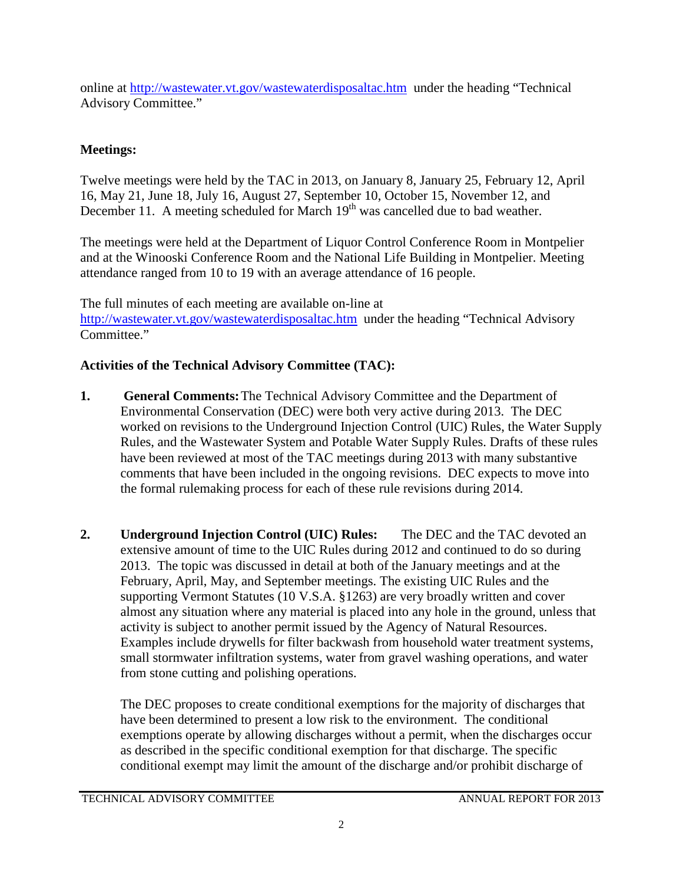online at<http://wastewater.vt.gov/wastewaterdisposaltac.htm> under the heading "Technical Advisory Committee."

# **Meetings:**

Twelve meetings were held by the TAC in 2013, on January 8, January 25, February 12, April 16, May 21, June 18, July 16, August 27, September 10, October 15, November 12, and December 11. A meeting scheduled for March  $19<sup>th</sup>$  was cancelled due to bad weather.

The meetings were held at the Department of Liquor Control Conference Room in Montpelier and at the Winooski Conference Room and the National Life Building in Montpelier. Meeting attendance ranged from 10 to 19 with an average attendance of 16 people.

The full minutes of each meeting are available on-line at <http://wastewater.vt.gov/wastewaterdisposaltac.htm> under the heading "Technical Advisory Committee."

# **Activities of the Technical Advisory Committee (TAC):**

- **1. General Comments:**The Technical Advisory Committee and the Department of Environmental Conservation (DEC) were both very active during 2013. The DEC worked on revisions to the Underground Injection Control (UIC) Rules, the Water Supply Rules, and the Wastewater System and Potable Water Supply Rules. Drafts of these rules have been reviewed at most of the TAC meetings during 2013 with many substantive comments that have been included in the ongoing revisions. DEC expects to move into the formal rulemaking process for each of these rule revisions during 2014.
- **2. Underground Injection Control (UIC) Rules:** The DEC and the TAC devoted an extensive amount of time to the UIC Rules during 2012 and continued to do so during 2013. The topic was discussed in detail at both of the January meetings and at the February, April, May, and September meetings. The existing UIC Rules and the supporting Vermont Statutes (10 V.S.A. §1263) are very broadly written and cover almost any situation where any material is placed into any hole in the ground, unless that activity is subject to another permit issued by the Agency of Natural Resources. Examples include drywells for filter backwash from household water treatment systems, small stormwater infiltration systems, water from gravel washing operations, and water from stone cutting and polishing operations.

The DEC proposes to create conditional exemptions for the majority of discharges that have been determined to present a low risk to the environment. The conditional exemptions operate by allowing discharges without a permit, when the discharges occur as described in the specific conditional exemption for that discharge. The specific conditional exempt may limit the amount of the discharge and/or prohibit discharge of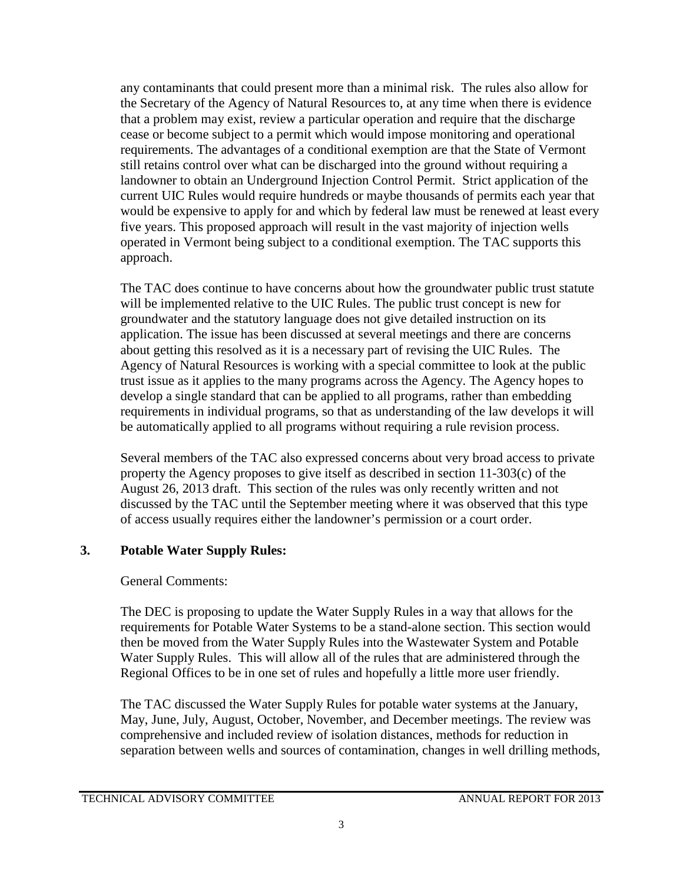any contaminants that could present more than a minimal risk. The rules also allow for the Secretary of the Agency of Natural Resources to, at any time when there is evidence that a problem may exist, review a particular operation and require that the discharge cease or become subject to a permit which would impose monitoring and operational requirements. The advantages of a conditional exemption are that the State of Vermont still retains control over what can be discharged into the ground without requiring a landowner to obtain an Underground Injection Control Permit. Strict application of the current UIC Rules would require hundreds or maybe thousands of permits each year that would be expensive to apply for and which by federal law must be renewed at least every five years. This proposed approach will result in the vast majority of injection wells operated in Vermont being subject to a conditional exemption. The TAC supports this approach.

The TAC does continue to have concerns about how the groundwater public trust statute will be implemented relative to the UIC Rules. The public trust concept is new for groundwater and the statutory language does not give detailed instruction on its application. The issue has been discussed at several meetings and there are concerns about getting this resolved as it is a necessary part of revising the UIC Rules. The Agency of Natural Resources is working with a special committee to look at the public trust issue as it applies to the many programs across the Agency. The Agency hopes to develop a single standard that can be applied to all programs, rather than embedding requirements in individual programs, so that as understanding of the law develops it will be automatically applied to all programs without requiring a rule revision process.

Several members of the TAC also expressed concerns about very broad access to private property the Agency proposes to give itself as described in section 11-303(c) of the August 26, 2013 draft. This section of the rules was only recently written and not discussed by the TAC until the September meeting where it was observed that this type of access usually requires either the landowner's permission or a court order.

## **3. Potable Water Supply Rules:**

## General Comments:

The DEC is proposing to update the Water Supply Rules in a way that allows for the requirements for Potable Water Systems to be a stand-alone section. This section would then be moved from the Water Supply Rules into the Wastewater System and Potable Water Supply Rules. This will allow all of the rules that are administered through the Regional Offices to be in one set of rules and hopefully a little more user friendly.

The TAC discussed the Water Supply Rules for potable water systems at the January, May, June, July, August, October, November, and December meetings. The review was comprehensive and included review of isolation distances, methods for reduction in separation between wells and sources of contamination, changes in well drilling methods,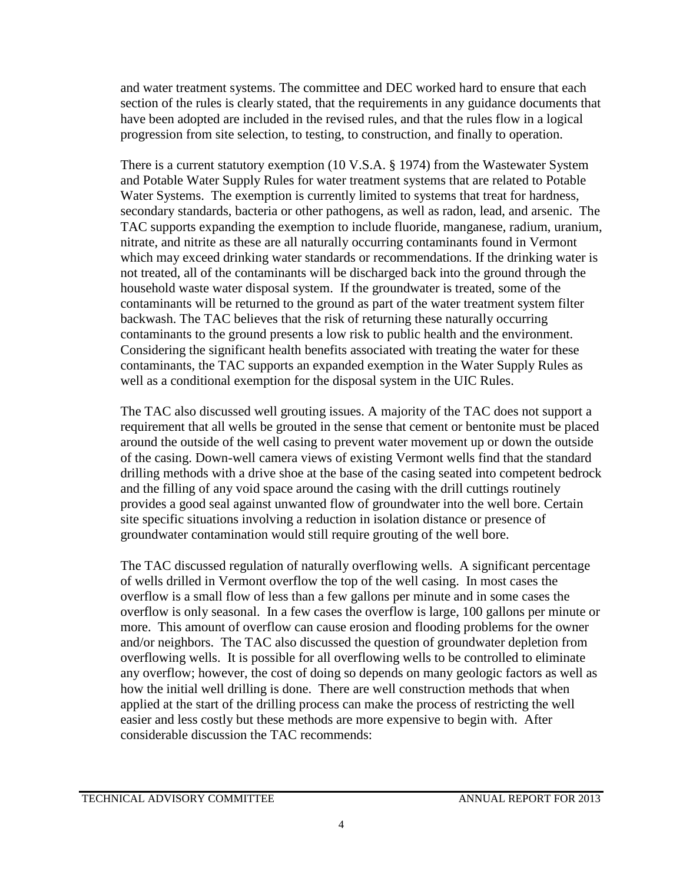and water treatment systems. The committee and DEC worked hard to ensure that each section of the rules is clearly stated, that the requirements in any guidance documents that have been adopted are included in the revised rules, and that the rules flow in a logical progression from site selection, to testing, to construction, and finally to operation.

There is a current statutory exemption (10 V.S.A. § 1974) from the Wastewater System and Potable Water Supply Rules for water treatment systems that are related to Potable Water Systems. The exemption is currently limited to systems that treat for hardness, secondary standards, bacteria or other pathogens, as well as radon, lead, and arsenic. The TAC supports expanding the exemption to include fluoride, manganese, radium, uranium, nitrate, and nitrite as these are all naturally occurring contaminants found in Vermont which may exceed drinking water standards or recommendations. If the drinking water is not treated, all of the contaminants will be discharged back into the ground through the household waste water disposal system. If the groundwater is treated, some of the contaminants will be returned to the ground as part of the water treatment system filter backwash. The TAC believes that the risk of returning these naturally occurring contaminants to the ground presents a low risk to public health and the environment. Considering the significant health benefits associated with treating the water for these contaminants, the TAC supports an expanded exemption in the Water Supply Rules as well as a conditional exemption for the disposal system in the UIC Rules.

The TAC also discussed well grouting issues. A majority of the TAC does not support a requirement that all wells be grouted in the sense that cement or bentonite must be placed around the outside of the well casing to prevent water movement up or down the outside of the casing. Down-well camera views of existing Vermont wells find that the standard drilling methods with a drive shoe at the base of the casing seated into competent bedrock and the filling of any void space around the casing with the drill cuttings routinely provides a good seal against unwanted flow of groundwater into the well bore. Certain site specific situations involving a reduction in isolation distance or presence of groundwater contamination would still require grouting of the well bore.

The TAC discussed regulation of naturally overflowing wells. A significant percentage of wells drilled in Vermont overflow the top of the well casing. In most cases the overflow is a small flow of less than a few gallons per minute and in some cases the overflow is only seasonal. In a few cases the overflow is large, 100 gallons per minute or more. This amount of overflow can cause erosion and flooding problems for the owner and/or neighbors. The TAC also discussed the question of groundwater depletion from overflowing wells. It is possible for all overflowing wells to be controlled to eliminate any overflow; however, the cost of doing so depends on many geologic factors as well as how the initial well drilling is done. There are well construction methods that when applied at the start of the drilling process can make the process of restricting the well easier and less costly but these methods are more expensive to begin with. After considerable discussion the TAC recommends: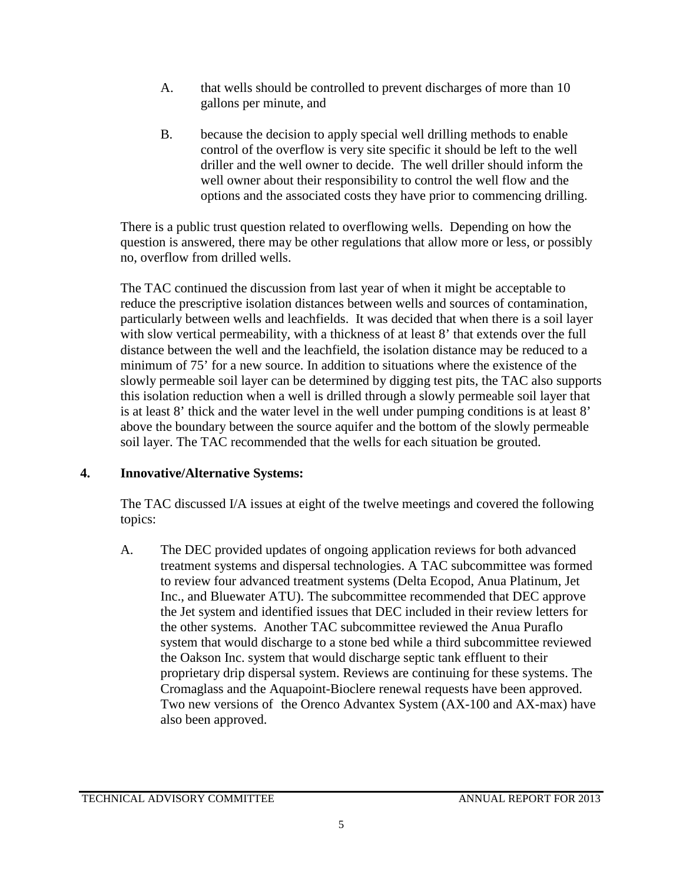- A. that wells should be controlled to prevent discharges of more than 10 gallons per minute, and
- B. because the decision to apply special well drilling methods to enable control of the overflow is very site specific it should be left to the well driller and the well owner to decide. The well driller should inform the well owner about their responsibility to control the well flow and the options and the associated costs they have prior to commencing drilling.

There is a public trust question related to overflowing wells. Depending on how the question is answered, there may be other regulations that allow more or less, or possibly no, overflow from drilled wells.

The TAC continued the discussion from last year of when it might be acceptable to reduce the prescriptive isolation distances between wells and sources of contamination, particularly between wells and leachfields. It was decided that when there is a soil layer with slow vertical permeability, with a thickness of at least 8' that extends over the full distance between the well and the leachfield, the isolation distance may be reduced to a minimum of 75' for a new source. In addition to situations where the existence of the slowly permeable soil layer can be determined by digging test pits, the TAC also supports this isolation reduction when a well is drilled through a slowly permeable soil layer that is at least 8' thick and the water level in the well under pumping conditions is at least 8' above the boundary between the source aquifer and the bottom of the slowly permeable soil layer. The TAC recommended that the wells for each situation be grouted.

## **4. Innovative/Alternative Systems:**

The TAC discussed I/A issues at eight of the twelve meetings and covered the following topics:

A. The DEC provided updates of ongoing application reviews for both advanced treatment systems and dispersal technologies. A TAC subcommittee was formed to review four advanced treatment systems (Delta Ecopod, Anua Platinum, Jet Inc., and Bluewater ATU). The subcommittee recommended that DEC approve the Jet system and identified issues that DEC included in their review letters for the other systems. Another TAC subcommittee reviewed the Anua Puraflo system that would discharge to a stone bed while a third subcommittee reviewed the Oakson Inc. system that would discharge septic tank effluent to their proprietary drip dispersal system. Reviews are continuing for these systems. The Cromaglass and the Aquapoint-Bioclere renewal requests have been approved. Two new versions of the Orenco Advantex System (AX-100 and AX-max) have also been approved.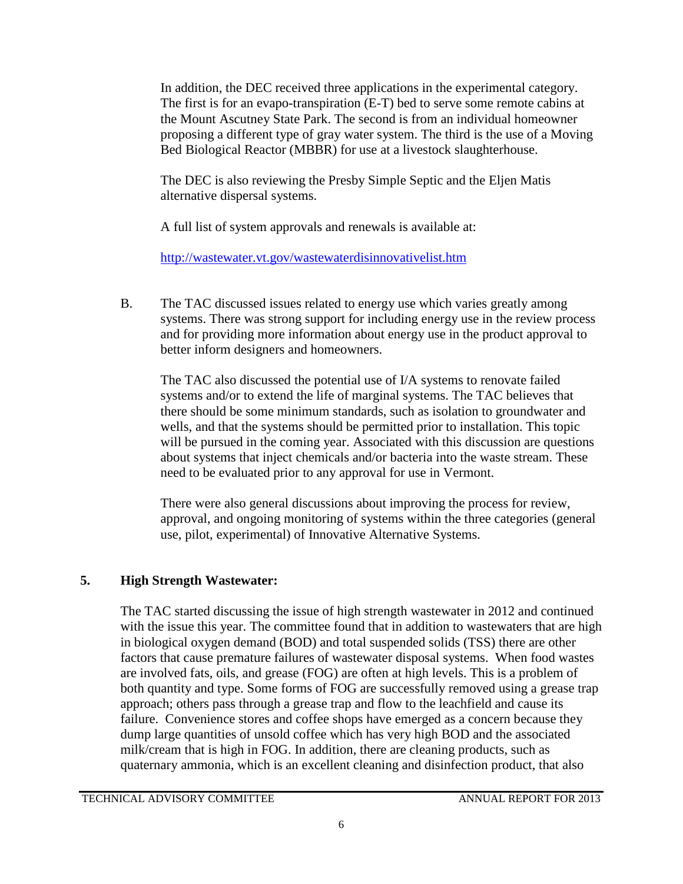In addition, the DEC received three applications in the experimental category. The first is for an evapo-transpiration (E-T) bed to serve some remote cabins at the Mount Ascutney State Park. The second is from an individual homeowner proposing a different type of gray water system. The third is the use of a Moving Bed Biological Reactor (MBBR) for use at a livestock slaughterhouse.

The DEC is also reviewing the Presby Simple Septic and the Eljen Matis alternative dispersal systems.

A full list of system approvals and renewals is available at:

<http://wastewater.vt.gov/wastewaterdisinnovativelist.htm>

B. The TAC discussed issues related to energy use which varies greatly among systems. There was strong support for including energy use in the review process and for providing more information about energy use in the product approval to better inform designers and homeowners.

The TAC also discussed the potential use of I/A systems to renovate failed systems and/or to extend the life of marginal systems. The TAC believes that there should be some minimum standards, such as isolation to groundwater and wells, and that the systems should be permitted prior to installation. This topic will be pursued in the coming year. Associated with this discussion are questions about systems that inject chemicals and/or bacteria into the waste stream. These need to be evaluated prior to any approval for use in Vermont.

There were also general discussions about improving the process for review, approval, and ongoing monitoring of systems within the three categories (general use, pilot, experimental) of Innovative Alternative Systems.

# **5. High Strength Wastewater:**

The TAC started discussing the issue of high strength wastewater in 2012 and continued with the issue this year. The committee found that in addition to wastewaters that are high in biological oxygen demand (BOD) and total suspended solids (TSS) there are other factors that cause premature failures of wastewater disposal systems. When food wastes are involved fats, oils, and grease (FOG) are often at high levels. This is a problem of both quantity and type. Some forms of FOG are successfully removed using a grease trap approach; others pass through a grease trap and flow to the leachfield and cause its failure. Convenience stores and coffee shops have emerged as a concern because they dump large quantities of unsold coffee which has very high BOD and the associated milk/cream that is high in FOG. In addition, there are cleaning products, such as quaternary ammonia, which is an excellent cleaning and disinfection product, that also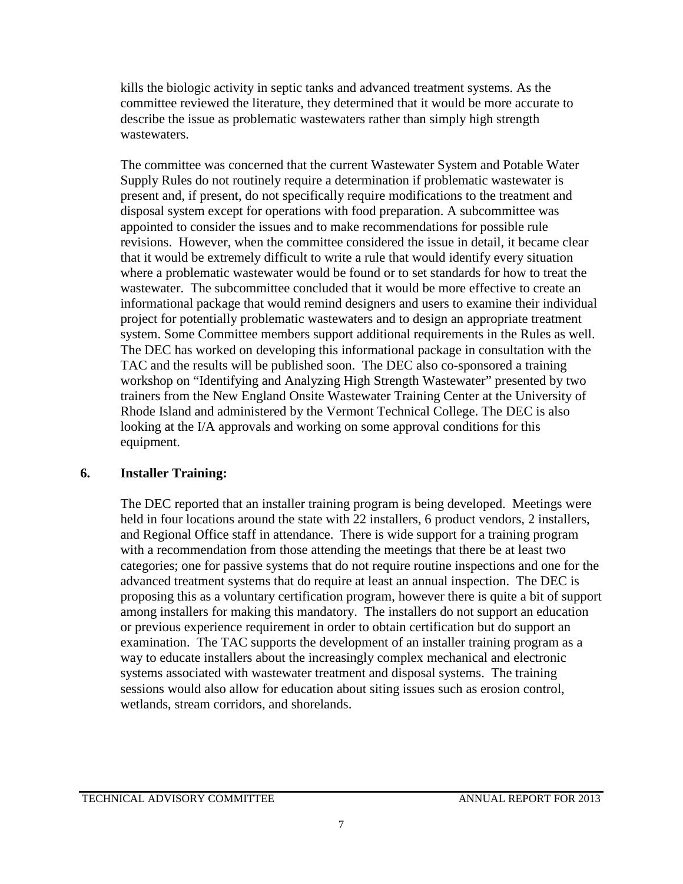kills the biologic activity in septic tanks and advanced treatment systems. As the committee reviewed the literature, they determined that it would be more accurate to describe the issue as problematic wastewaters rather than simply high strength wastewaters.

The committee was concerned that the current Wastewater System and Potable Water Supply Rules do not routinely require a determination if problematic wastewater is present and, if present, do not specifically require modifications to the treatment and disposal system except for operations with food preparation. A subcommittee was appointed to consider the issues and to make recommendations for possible rule revisions. However, when the committee considered the issue in detail, it became clear that it would be extremely difficult to write a rule that would identify every situation where a problematic wastewater would be found or to set standards for how to treat the wastewater. The subcommittee concluded that it would be more effective to create an informational package that would remind designers and users to examine their individual project for potentially problematic wastewaters and to design an appropriate treatment system. Some Committee members support additional requirements in the Rules as well. The DEC has worked on developing this informational package in consultation with the TAC and the results will be published soon. The DEC also co-sponsored a training workshop on "Identifying and Analyzing High Strength Wastewater" presented by two trainers from the New England Onsite Wastewater Training Center at the University of Rhode Island and administered by the Vermont Technical College. The DEC is also looking at the I/A approvals and working on some approval conditions for this equipment.

#### **6. Installer Training:**

The DEC reported that an installer training program is being developed. Meetings were held in four locations around the state with 22 installers, 6 product vendors, 2 installers, and Regional Office staff in attendance. There is wide support for a training program with a recommendation from those attending the meetings that there be at least two categories; one for passive systems that do not require routine inspections and one for the advanced treatment systems that do require at least an annual inspection. The DEC is proposing this as a voluntary certification program, however there is quite a bit of support among installers for making this mandatory. The installers do not support an education or previous experience requirement in order to obtain certification but do support an examination. The TAC supports the development of an installer training program as a way to educate installers about the increasingly complex mechanical and electronic systems associated with wastewater treatment and disposal systems. The training sessions would also allow for education about siting issues such as erosion control, wetlands, stream corridors, and shorelands.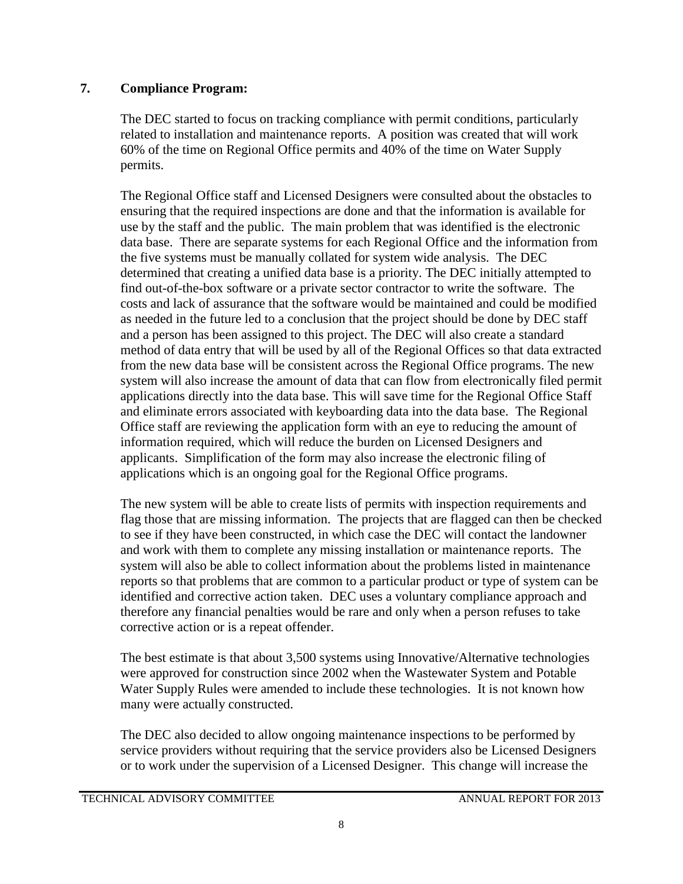### **7. Compliance Program:**

The DEC started to focus on tracking compliance with permit conditions, particularly related to installation and maintenance reports. A position was created that will work 60% of the time on Regional Office permits and 40% of the time on Water Supply permits.

The Regional Office staff and Licensed Designers were consulted about the obstacles to ensuring that the required inspections are done and that the information is available for use by the staff and the public. The main problem that was identified is the electronic data base. There are separate systems for each Regional Office and the information from the five systems must be manually collated for system wide analysis. The DEC determined that creating a unified data base is a priority. The DEC initially attempted to find out-of-the-box software or a private sector contractor to write the software. The costs and lack of assurance that the software would be maintained and could be modified as needed in the future led to a conclusion that the project should be done by DEC staff and a person has been assigned to this project. The DEC will also create a standard method of data entry that will be used by all of the Regional Offices so that data extracted from the new data base will be consistent across the Regional Office programs. The new system will also increase the amount of data that can flow from electronically filed permit applications directly into the data base. This will save time for the Regional Office Staff and eliminate errors associated with keyboarding data into the data base. The Regional Office staff are reviewing the application form with an eye to reducing the amount of information required, which will reduce the burden on Licensed Designers and applicants. Simplification of the form may also increase the electronic filing of applications which is an ongoing goal for the Regional Office programs.

The new system will be able to create lists of permits with inspection requirements and flag those that are missing information. The projects that are flagged can then be checked to see if they have been constructed, in which case the DEC will contact the landowner and work with them to complete any missing installation or maintenance reports. The system will also be able to collect information about the problems listed in maintenance reports so that problems that are common to a particular product or type of system can be identified and corrective action taken. DEC uses a voluntary compliance approach and therefore any financial penalties would be rare and only when a person refuses to take corrective action or is a repeat offender.

The best estimate is that about 3,500 systems using Innovative/Alternative technologies were approved for construction since 2002 when the Wastewater System and Potable Water Supply Rules were amended to include these technologies. It is not known how many were actually constructed.

The DEC also decided to allow ongoing maintenance inspections to be performed by service providers without requiring that the service providers also be Licensed Designers or to work under the supervision of a Licensed Designer. This change will increase the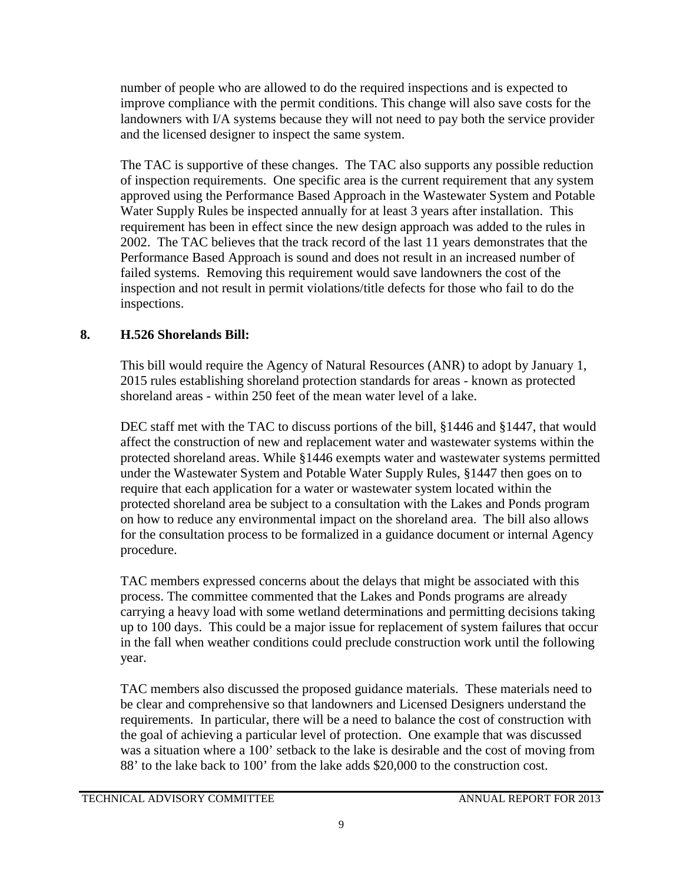number of people who are allowed to do the required inspections and is expected to improve compliance with the permit conditions. This change will also save costs for the landowners with I/A systems because they will not need to pay both the service provider and the licensed designer to inspect the same system.

The TAC is supportive of these changes. The TAC also supports any possible reduction of inspection requirements. One specific area is the current requirement that any system approved using the Performance Based Approach in the Wastewater System and Potable Water Supply Rules be inspected annually for at least 3 years after installation. This requirement has been in effect since the new design approach was added to the rules in 2002. The TAC believes that the track record of the last 11 years demonstrates that the Performance Based Approach is sound and does not result in an increased number of failed systems. Removing this requirement would save landowners the cost of the inspection and not result in permit violations/title defects for those who fail to do the inspections.

# **8. H.526 Shorelands Bill:**

This bill would require the Agency of Natural Resources (ANR) to adopt by January 1, 2015 rules establishing shoreland protection standards for areas - known as protected shoreland areas - within 250 feet of the mean water level of a lake.

DEC staff met with the TAC to discuss portions of the bill,  $\S 1446$  and  $\S 1447$ , that would affect the construction of new and replacement water and wastewater systems within the protected shoreland areas. While §1446 exempts water and wastewater systems permitted under the Wastewater System and Potable Water Supply Rules, §1447 then goes on to require that each application for a water or wastewater system located within the protected shoreland area be subject to a consultation with the Lakes and Ponds program on how to reduce any environmental impact on the shoreland area. The bill also allows for the consultation process to be formalized in a guidance document or internal Agency procedure.

TAC members expressed concerns about the delays that might be associated with this process. The committee commented that the Lakes and Ponds programs are already carrying a heavy load with some wetland determinations and permitting decisions taking up to 100 days. This could be a major issue for replacement of system failures that occur in the fall when weather conditions could preclude construction work until the following year.

TAC members also discussed the proposed guidance materials. These materials need to be clear and comprehensive so that landowners and Licensed Designers understand the requirements. In particular, there will be a need to balance the cost of construction with the goal of achieving a particular level of protection. One example that was discussed was a situation where a 100' setback to the lake is desirable and the cost of moving from 88' to the lake back to 100' from the lake adds \$20,000 to the construction cost.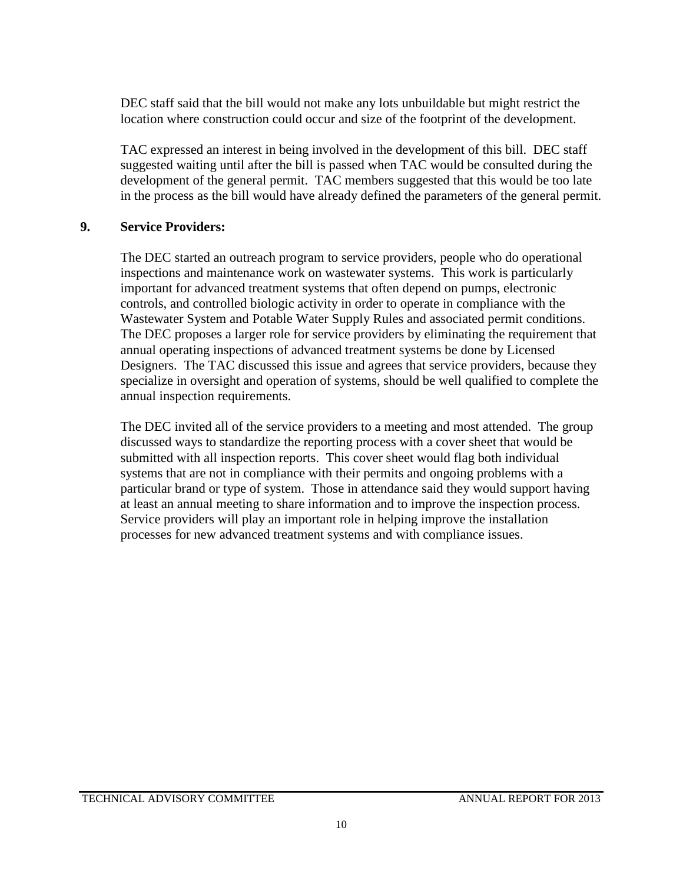DEC staff said that the bill would not make any lots unbuildable but might restrict the location where construction could occur and size of the footprint of the development.

TAC expressed an interest in being involved in the development of this bill. DEC staff suggested waiting until after the bill is passed when TAC would be consulted during the development of the general permit. TAC members suggested that this would be too late in the process as the bill would have already defined the parameters of the general permit.

#### **9. Service Providers:**

The DEC started an outreach program to service providers, people who do operational inspections and maintenance work on wastewater systems. This work is particularly important for advanced treatment systems that often depend on pumps, electronic controls, and controlled biologic activity in order to operate in compliance with the Wastewater System and Potable Water Supply Rules and associated permit conditions. The DEC proposes a larger role for service providers by eliminating the requirement that annual operating inspections of advanced treatment systems be done by Licensed Designers. The TAC discussed this issue and agrees that service providers, because they specialize in oversight and operation of systems, should be well qualified to complete the annual inspection requirements.

The DEC invited all of the service providers to a meeting and most attended. The group discussed ways to standardize the reporting process with a cover sheet that would be submitted with all inspection reports. This cover sheet would flag both individual systems that are not in compliance with their permits and ongoing problems with a particular brand or type of system. Those in attendance said they would support having at least an annual meeting to share information and to improve the inspection process. Service providers will play an important role in helping improve the installation processes for new advanced treatment systems and with compliance issues.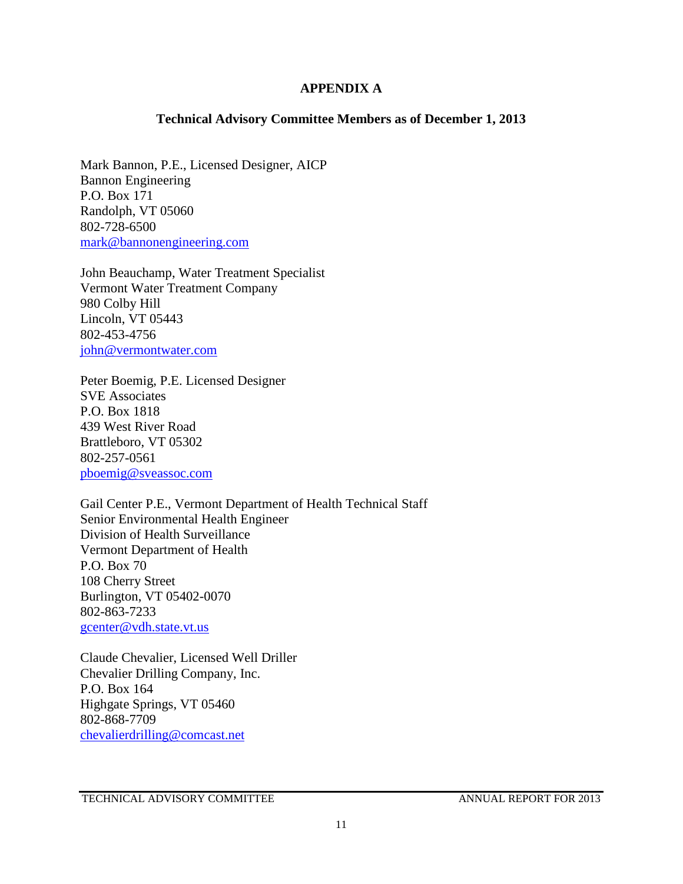#### **APPENDIX A**

#### **Technical Advisory Committee Members as of December 1, 2013**

Mark Bannon, P.E., Licensed Designer, AICP Bannon Engineering P.O. Box 171 Randolph, VT 05060 802-728-6500 [mark@bannonengineering.com](mailto:mark@bannonengineering.com)

John Beauchamp, Water Treatment Specialist Vermont Water Treatment Company 980 Colby Hill Lincoln, VT 05443 802-453-4756 [john@vermontwater.com](mailto:john@vermontwater.com)

Peter Boemig, P.E. Licensed Designer SVE Associates P.O. Box 1818 439 West River Road Brattleboro, VT 05302 802-257-0561 [pboemig@sveassoc.com](mailto:pboemig@sveassoc.com)

Gail Center P.E., Vermont Department of Health Technical Staff Senior Environmental Health Engineer Division of Health Surveillance Vermont Department of Health P.O. Box 70 108 Cherry Street Burlington, VT 05402-0070 802-863-7233 [gcenter@vdh.state.vt.us](mailto:gcenter@vdh.state.vt.us)

Claude Chevalier, Licensed Well Driller Chevalier Drilling Company, Inc. P.O. Box 164 Highgate Springs, VT 05460 802-868-7709 [chevalierdrilling@comcast.net](mailto:chevalierdrilling@comcast.net)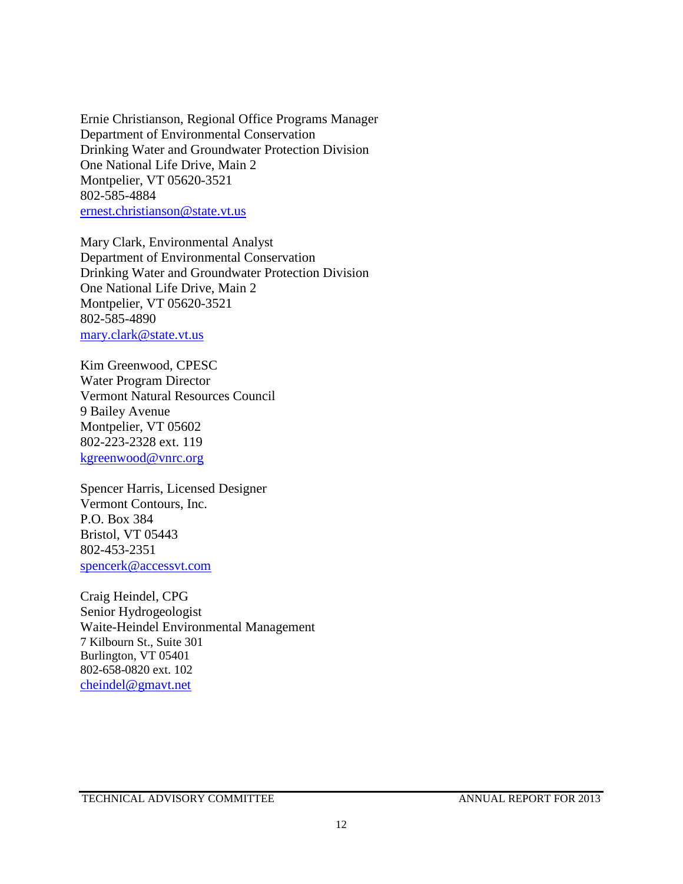Ernie Christianson, Regional Office Programs Manager Department of Environmental Conservation Drinking Water and Groundwater Protection Division One National Life Drive, Main 2 Montpelier, VT 05620-3521 802-585-4884 [ernest.christianson@state.vt.us](mailto:ernest.christianson@state.vt.us)

Mary Clark, Environmental Analyst Department of Environmental Conservation Drinking Water and Groundwater Protection Division One National Life Drive, Main 2 Montpelier, VT 05620-3521 802-585-4890 [mary.clark@state.vt.us](mailto:mary.clark@state.vt.us)

Kim Greenwood, CPESC Water Program Director Vermont Natural Resources Council 9 Bailey Avenue Montpelier, VT 05602 802-223-2328 ext. 119 [kgreenwood@vnrc.org](mailto:kgreenwood@vnrc.org)

Spencer Harris, Licensed Designer Vermont Contours, Inc. P.O. Box 384 Bristol, VT 05443 802-453-2351 [spencerk@accessvt.com](mailto:spencerk@accessvt.com)

Craig Heindel, CPG Senior Hydrogeologist Waite-Heindel Environmental Management 7 Kilbourn St., Suite 301 Burlington, VT 05401 802-658-0820 ext. 102 [cheindel@gmavt.net](mailto:cheindel@gmavt.net)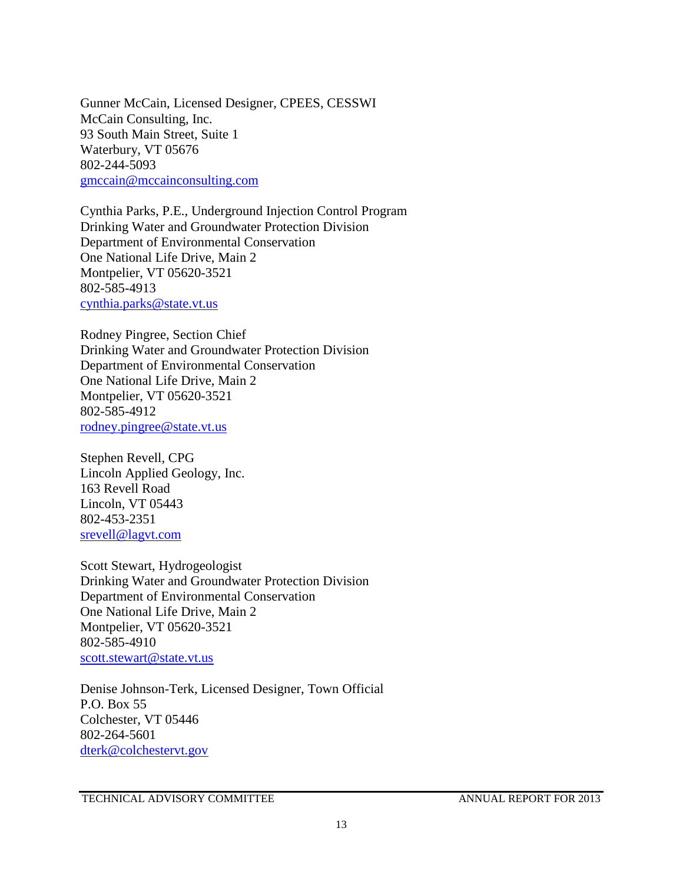Gunner McCain, Licensed Designer, CPEES, CESSWI McCain Consulting, Inc. 93 South Main Street, Suite 1 Waterbury, VT 05676 802-244-5093 [gmccain@mccainconsulting.com](mailto:gmccain@mccainconsulting.com)

Cynthia Parks, P.E., Underground Injection Control Program Drinking Water and Groundwater Protection Division Department of Environmental Conservation One National Life Drive, Main 2 Montpelier, VT 05620-3521 802-585-4913 [cynthia.parks@state.vt.us](mailto:cynthia.parks@state.vt.us)

Rodney Pingree, Section Chief Drinking Water and Groundwater Protection Division Department of Environmental Conservation One National Life Drive, Main 2 Montpelier, VT 05620-3521 802-585-4912 [rodney.pingree@state.vt.us](mailto:rodney.pingree@state.vt.us)

Stephen Revell, CPG Lincoln Applied Geology, Inc. 163 Revell Road Lincoln, VT 05443 802-453-2351 [srevell@lagvt.com](mailto:srevell@lagvt.com)

Scott Stewart, Hydrogeologist Drinking Water and Groundwater Protection Division Department of Environmental Conservation One National Life Drive, Main 2 Montpelier, VT 05620-3521 802-585-4910 [scott.stewart@state.vt.us](mailto:scott.stewart@state.vt.us)

Denise Johnson-Terk, Licensed Designer, Town Official P.O. Box 55 Colchester, VT 05446 802-264-5601 [dterk@colchestervt.gov](mailto:dterk@colchestervt.gov)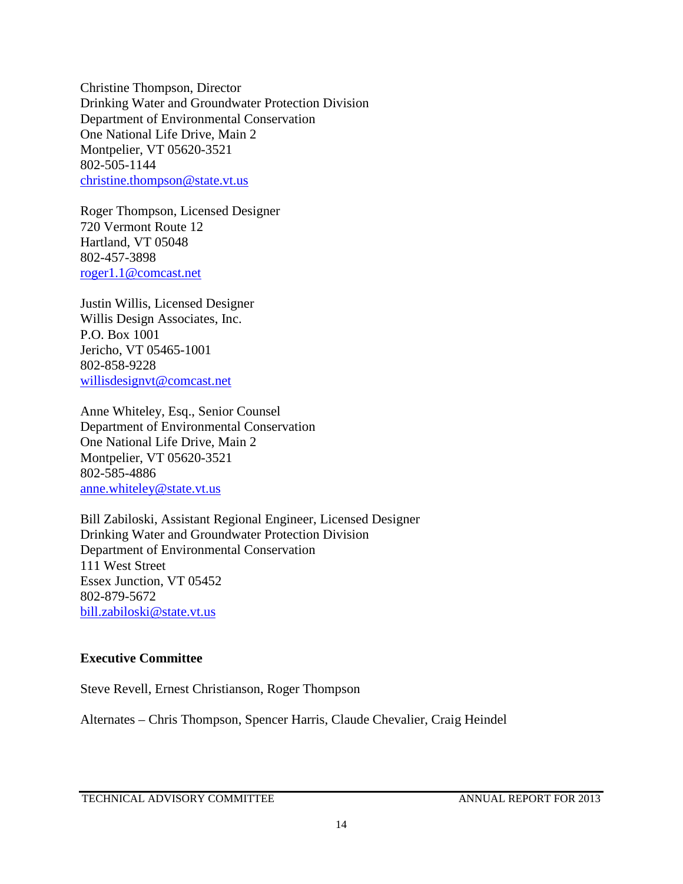Christine Thompson, Director Drinking Water and Groundwater Protection Division Department of Environmental Conservation One National Life Drive, Main 2 Montpelier, VT 05620-3521 802-505-1144 [christine.thompson@state.vt.us](mailto:christine.thompson@state.vt.us)

Roger Thompson, Licensed Designer 720 Vermont Route 12 Hartland, VT 05048 802-457-3898 [roger1.1@comcast.net](mailto:roger1.1@comcast.net)

Justin Willis, Licensed Designer Willis Design Associates, Inc. P.O. Box 1001 Jericho, VT 05465-1001 802-858-9228 [willisdesignvt@comcast.net](mailto:willisdesignvt@comcast.net)

Anne Whiteley, Esq., Senior Counsel Department of Environmental Conservation One National Life Drive, Main 2 Montpelier, VT 05620-3521 802-585-4886 [anne.whiteley@state.vt.us](mailto:anne.whiteley@state.vt.us)

Bill Zabiloski, Assistant Regional Engineer, Licensed Designer Drinking Water and Groundwater Protection Division Department of Environmental Conservation 111 West Street Essex Junction, VT 05452 802-879-5672 [bill.zabiloski@state.vt.us](mailto:bill.zabiloski@state.vt.us)

#### **Executive Committee**

Steve Revell, Ernest Christianson, Roger Thompson

Alternates – Chris Thompson, Spencer Harris, Claude Chevalier, Craig Heindel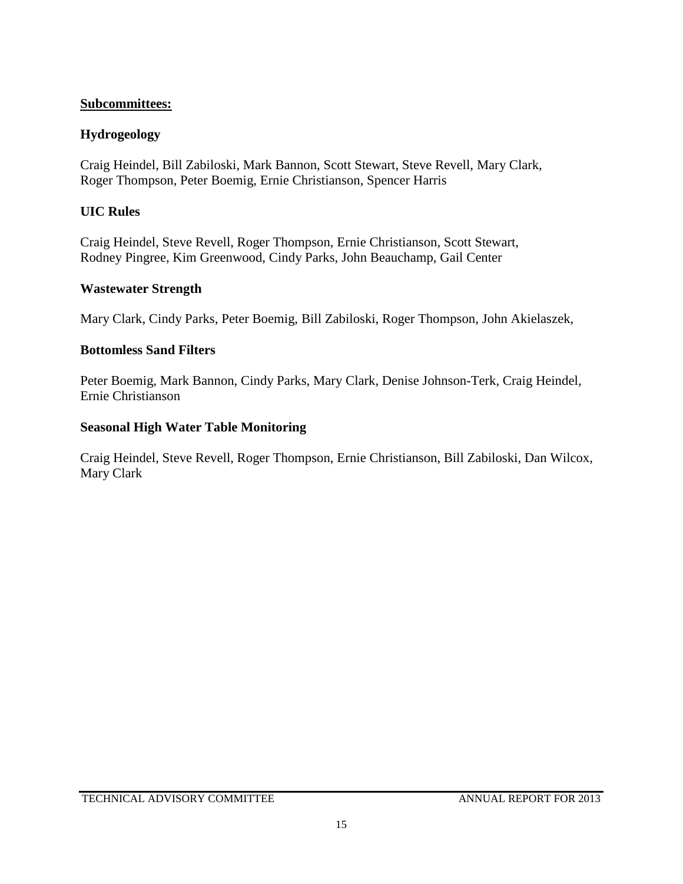### **Subcommittees:**

### **Hydrogeology**

Craig Heindel, Bill Zabiloski, Mark Bannon, Scott Stewart, Steve Revell, Mary Clark, Roger Thompson, Peter Boemig, Ernie Christianson, Spencer Harris

### **UIC Rules**

Craig Heindel, Steve Revell, Roger Thompson, Ernie Christianson, Scott Stewart, Rodney Pingree, Kim Greenwood, Cindy Parks, John Beauchamp, Gail Center

#### **Wastewater Strength**

Mary Clark, Cindy Parks, Peter Boemig, Bill Zabiloski, Roger Thompson, John Akielaszek,

### **Bottomless Sand Filters**

Peter Boemig, Mark Bannon, Cindy Parks, Mary Clark, Denise Johnson-Terk, Craig Heindel, Ernie Christianson

### **Seasonal High Water Table Monitoring**

Craig Heindel, Steve Revell, Roger Thompson, Ernie Christianson, Bill Zabiloski, Dan Wilcox, Mary Clark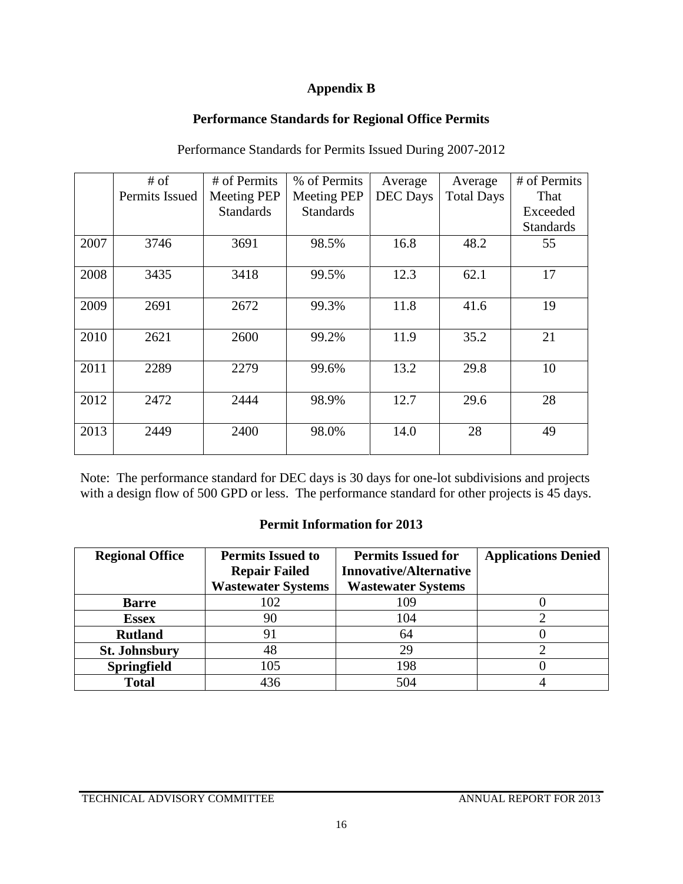### **Appendix B**

## **Performance Standards for Regional Office Permits**

|      | $#$ of         | # of Permits       | % of Permits       | Average         | Average           | # of Permits     |
|------|----------------|--------------------|--------------------|-----------------|-------------------|------------------|
|      | Permits Issued | <b>Meeting PEP</b> | <b>Meeting PEP</b> | <b>DEC</b> Days | <b>Total Days</b> | That             |
|      |                | <b>Standards</b>   | <b>Standards</b>   |                 |                   | Exceeded         |
|      |                |                    |                    |                 |                   | <b>Standards</b> |
| 2007 | 3746           | 3691               | 98.5%              | 16.8            | 48.2              | 55               |
| 2008 | 3435           | 3418               | 99.5%              | 12.3            | 62.1              | 17               |
| 2009 | 2691           | 2672               | 99.3%              | 11.8            | 41.6              | 19               |
| 2010 | 2621           | 2600               | 99.2%              | 11.9            | 35.2              | 21               |
| 2011 | 2289           | 2279               | 99.6%              | 13.2            | 29.8              | 10               |
| 2012 | 2472           | 2444               | 98.9%              | 12.7            | 29.6              | 28               |
| 2013 | 2449           | 2400               | 98.0%              | 14.0            | 28                | 49               |

Performance Standards for Permits Issued During 2007-2012

Note: The performance standard for DEC days is 30 days for one-lot subdivisions and projects with a design flow of 500 GPD or less. The performance standard for other projects is 45 days.

#### **Permit Information for 2013**

| <b>Regional Office</b> | <b>Permits Issued to</b><br><b>Repair Failed</b> | <b>Permits Issued for</b><br><b>Innovative/Alternative</b> | <b>Applications Denied</b> |
|------------------------|--------------------------------------------------|------------------------------------------------------------|----------------------------|
|                        | <b>Wastewater Systems</b>                        | <b>Wastewater Systems</b>                                  |                            |
| <b>Barre</b>           | 102                                              | 109                                                        |                            |
| <b>Essex</b>           | 90                                               | 104                                                        |                            |
| <b>Rutland</b>         | 91                                               | 64                                                         |                            |
| <b>St. Johnsbury</b>   | 48                                               | 29                                                         |                            |
| <b>Springfield</b>     | 105                                              | 198                                                        |                            |
| <b>Total</b>           | 436                                              | 504                                                        |                            |